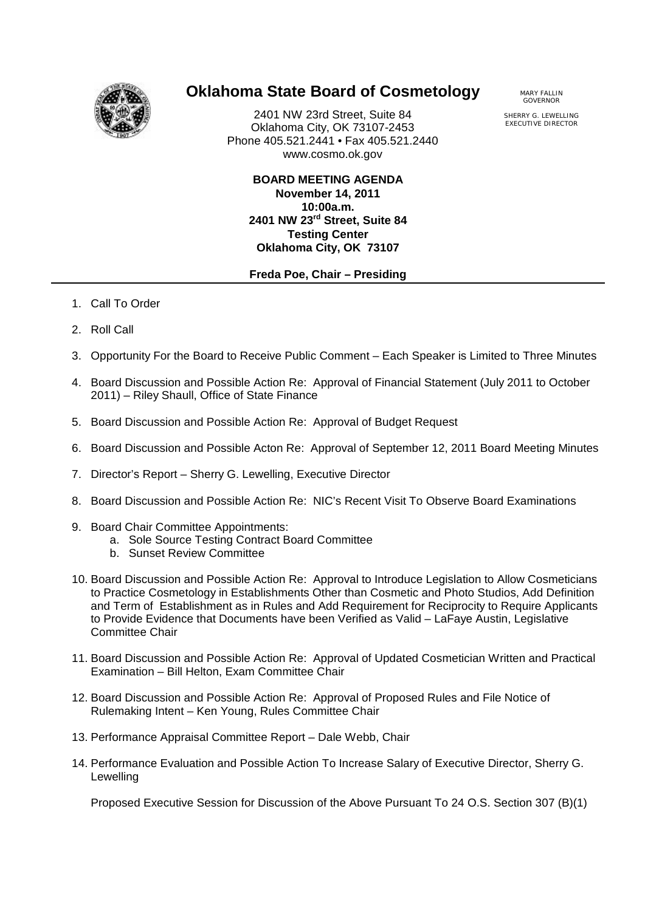

## **Oklahoma State Board of Cosmetology** MARY FALLIN

2401 NW 23rd Street, Suite 84 Oklahoma City, OK 73107-2453 Phone 405.521.2441 • Fax 405.521.2440 www.cosmo.ok.gov

> **BOARD MEETING AGENDA November 14, 2011 10:00a.m. 2401 NW 23rd Street, Suite 84 Testing Center Oklahoma City, OK 73107**

## **Freda Poe, Chair – Presiding**

GOVERNOR

SHERRY G. LEWELLING EXECUTIVE DIRECTOR

- 1. Call To Order
- 2. Roll Call
- 3. Opportunity For the Board to Receive Public Comment Each Speaker is Limited to Three Minutes
- 4. Board Discussion and Possible Action Re: Approval of Financial Statement (July 2011 to October 2011) – Riley Shaull, Office of State Finance
- 5. Board Discussion and Possible Action Re: Approval of Budget Request
- 6. Board Discussion and Possible Acton Re: Approval of September 12, 2011 Board Meeting Minutes
- 7. Director's Report Sherry G. Lewelling, Executive Director
- 8. Board Discussion and Possible Action Re: NIC's Recent Visit To Observe Board Examinations
- 9. Board Chair Committee Appointments:
	- a. Sole Source Testing Contract Board Committee
	- b. Sunset Review Committee
- 10. Board Discussion and Possible Action Re: Approval to Introduce Legislation to Allow Cosmeticians to Practice Cosmetology in Establishments Other than Cosmetic and Photo Studios, Add Definition and Term of Establishment as in Rules and Add Requirement for Reciprocity to Require Applicants to Provide Evidence that Documents have been Verified as Valid – LaFaye Austin, Legislative Committee Chair
- 11. Board Discussion and Possible Action Re: Approval of Updated Cosmetician Written and Practical Examination – Bill Helton, Exam Committee Chair
- 12. Board Discussion and Possible Action Re: Approval of Proposed Rules and File Notice of Rulemaking Intent – Ken Young, Rules Committee Chair
- 13. Performance Appraisal Committee Report Dale Webb, Chair
- 14. Performance Evaluation and Possible Action To Increase Salary of Executive Director, Sherry G. Lewelling

Proposed Executive Session for Discussion of the Above Pursuant To 24 O.S. Section 307 (B)(1)